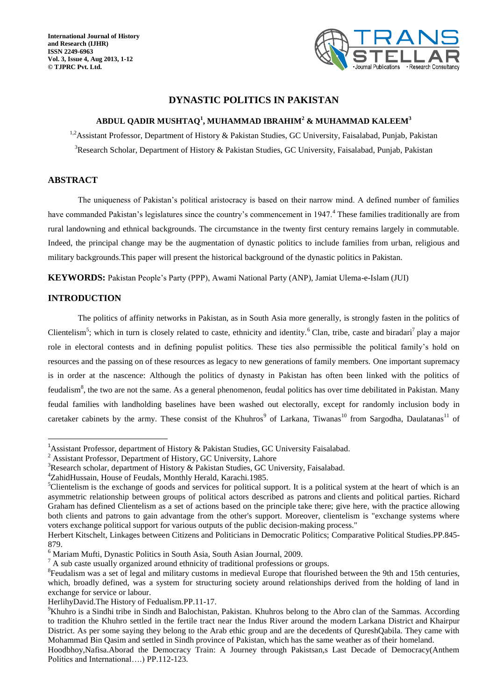**International Journal of History and Research (IJHR) ISSN 2249-6963 Vol. 3, Issue 4, Aug 2013, 1-12 © TJPRC Pvt. Ltd.**



# **DYNASTIC POLITICS IN PAKISTAN**

## **ABDUL QADIR MUSHTAQ<sup>1</sup> , MUHAMMAD IBRAHIM<sup>2</sup> & MUHAMMAD KALEEM<sup>3</sup>**

<sup>1,2</sup>Assistant Professor, Department of History & Pakistan Studies, GC University, Faisalabad, Punjab, Pakistan <sup>3</sup>Research Scholar, Department of History & Pakistan Studies, GC University, Faisalabad, Punjab, Pakistan

# **ABSTRACT**

The uniqueness of Pakistan's political aristocracy is based on their narrow mind. A defined number of families have commanded Pakistan's legislatures since the country's commencement in 1947.<sup>4</sup> These families traditionally are from rural landowning and ethnical backgrounds. The circumstance in the twenty first century remains largely in commutable. Indeed, the principal change may be the augmentation of dynastic politics to include families from urban, religious and military backgrounds.This paper will present the historical background of the dynastic politics in Pakistan.

**KEYWORDS:** Pakistan People's Party (PPP), Awami National Party (ANP), Jamiat Ulema-e-Islam (JUI)

# **INTRODUCTION**

 $\overline{a}$ 

The politics of affinity networks in Pakistan, as in South Asia more generally, is strongly fasten in the politics of Clientelism<sup>5</sup>; which in turn is closely related to caste, ethnicity and identity.<sup>6</sup> Clan, tribe, caste and biradari<sup>7</sup> play a major role in electoral contests and in defining populist politics. These ties also permissible the political family's hold on resources and the passing on of these resources as legacy to new generations of family members. One important supremacy is in order at the nascence: Although the politics of dynasty in Pakistan has often been linked with the politics of feudalism<sup>8</sup>, the two are not the same. As a general phenomenon, feudal politics has over time debilitated in Pakistan. Many feudal families with landholding baselines have been washed out electorally, except for randomly inclusion body in caretaker cabinets by the army. These consist of the Khuhros<sup>9</sup> of Larkana, Tiwanas<sup>10</sup> from Sargodha, Daulatanas<sup>11</sup> of

<sup>&</sup>lt;sup>1</sup>Assistant Professor, department of History & Pakistan Studies, GC University Faisalabad.

<sup>&</sup>lt;sup>2</sup> Assistant Professor, Department of History, GC University, Lahore

<sup>&</sup>lt;sup>3</sup>Research scholar, department of History & Pakistan Studies, GC University, Faisalabad.

<sup>4</sup>ZahidHussain, House of Feudals, Monthly Herald, Karachi.1985.

 ${}^5$ Clientelism is the exchange of goods and services for political support. It is a political system at the heart of which is an asymmetric relationship between groups of political actors described as patrons and clients and political parties. [Richard](http://en.wikipedia.org/wiki/Richard_Graham_(historian))  [Graham](http://en.wikipedia.org/wiki/Richard_Graham_(historian)) has defined Clientelism as a set of actions based on the principle take there; give here, with the practice allowing both clients and patrons to gain advantage from the other's support. Moreover, clientelism is "exchange systems where voters exchange political support for various outputs of the public decision-making process."

Herbert Kitschelt, Linkages between Citizens and Politicians in Democratic Politics; Comparative Political Studies.PP.845- 879.

<sup>6</sup> Mariam Mufti, Dynastic Politics in South Asia, South Asian Journal, 2009.

<sup>&</sup>lt;sup>7</sup> A sub caste usually organized around ethnicity of traditional professions or groups.

<sup>&</sup>lt;sup>8</sup>Feudalism was a set of legal and military customs in [medieval Europe](http://en.wikipedia.org/wiki/Medieval_Europe) that flourished between the 9th and 15th centuries, which, broadly defined, was a system for structuring society around relationships derived from the holding of land in exchange for service or labour.

HerlihyDavid.The History of Fedualism.PP.11-17.

<sup>&</sup>lt;sup>9</sup>Khuhro is a [Sindhi](http://en.wikipedia.org/wiki/Sindhi_people) tribe in [Sindh](http://en.wikipedia.org/wiki/Sindh) and [Balochistan,](http://en.wikipedia.org/wiki/Balochistan_(Pakistan)) [Pakistan.](http://en.wikipedia.org/wiki/Pakistan) Khuhros belong to the [Abro](http://en.wikipedia.org/wiki/Abro) clan of the Sammas. According to tradition the Khuhro settled in the fertile tract near the Indus River around the modern [Larkana District](http://en.wikipedia.org/wiki/Larkana_District) and [Khairpur](http://en.wikipedia.org/wiki/Khairpur_District)  [District.](http://en.wikipedia.org/wiki/Khairpur_District) As per some saying they belong to the Arab ethic group and are the decedents of QureshQabila. They came with [Mohammad Bin Qasim](http://en.wikipedia.org/wiki/Mohammad_Bin_Qasim) and settled in Sindh province of Pakistan, which has the same weather as of their homeland.

Hoodbhoy,Nafisa.Aborad the Democracy Train: A Journey through Pakistsan,s Last Decade of Democracy(Anthem Politics and International….) PP.112-123.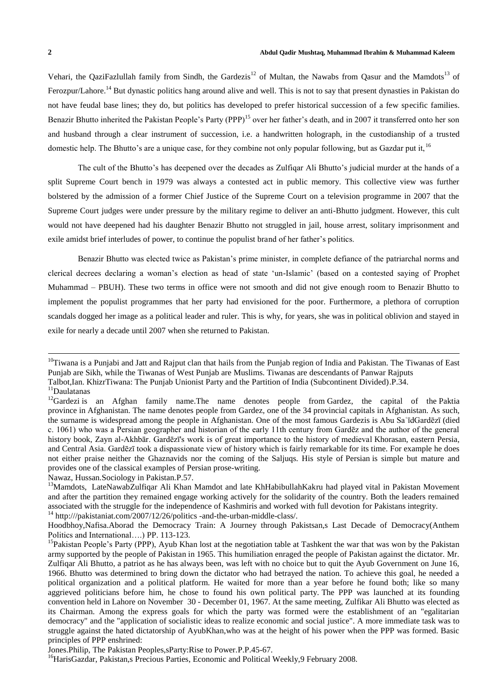Vehari, the QaziFazlullah family from Sindh, the Gardezis<sup>12</sup> of Multan, the Nawabs from Qasur and the Mamdots<sup>13</sup> of Ferozpur/Lahore.<sup>14</sup> But dynastic politics hang around alive and well. This is not to say that present dynasties in Pakistan do not have feudal base lines; they do, but politics has developed to prefer historical succession of a few specific families. Benazir Bhutto inherited the Pakistan People's Party (PPP)<sup>15</sup> over her father's death, and in 2007 it transferred onto her son and husband through a clear instrument of succession, i.e. a handwritten holograph, in the custodianship of a trusted domestic help. The Bhutto's are a unique case, for they combine not only popular following, but as Gazdar put it,<sup>16</sup>

The cult of the Bhutto's has deepened over the decades as Zulfiqar Ali Bhutto's judicial murder at the hands of a split Supreme Court bench in 1979 was always a contested act in public memory. This collective view was further bolstered by the admission of a former Chief Justice of the Supreme Court on a television programme in 2007 that the Supreme Court judges were under pressure by the military regime to deliver an anti-Bhutto judgment. However, this cult would not have deepened had his daughter Benazir Bhutto not struggled in jail, house arrest, solitary imprisonment and exile amidst brief interludes of power, to continue the populist brand of her father's politics.

Benazir Bhutto was elected twice as Pakistan's prime minister, in complete defiance of the patriarchal norms and clerical decrees declaring a woman's election as head of state 'un-Islamic' (based on a contested saying of Prophet Muhammad – PBUH). These two terms in office were not smooth and did not give enough room to Benazir Bhutto to implement the populist programmes that her party had envisioned for the poor. Furthermore, a plethora of corruption scandals dogged her image as a political leader and ruler. This is why, for years, she was in political oblivion and stayed in exile for nearly a decade until 2007 when she returned to Pakistan.

 $\overline{a}$ 

Nawaz, Hussan.Sociology in Pakistan.P.57.

 $10$ Tiwana is a [Punjabi](http://en.wikipedia.org/wiki/Punjabi_people) and [Jatt](http://en.wikipedia.org/wiki/Jatt) and [Rajput](http://en.wikipedia.org/wiki/Rajput) clan that hails from the [Punjab region](http://en.wikipedia.org/wiki/Punjab_region) of [India](http://en.wikipedia.org/wiki/India) and [Pakistan.](http://en.wikipedia.org/wiki/Pakistan) The Tiwanas of East Punjab are [Sikh,](http://en.wikipedia.org/wiki/Sikh) while the Tiwanas of West Punjab are [Muslims.](http://en.wikipedia.org/wiki/Muslims) Tiwanas are descendants of [Panwar](http://en.wikipedia.org/wiki/Panwar) [Rajputs](http://en.wikipedia.org/wiki/Rajputs) Talbot,Ian. KhizrTiwana: The Punjab Unionist Party and the Partition of India (Subcontinent Divided).P.34.

 $\rm ^{11}Daulatanas$ 

<sup>&</sup>lt;sup>12</sup>Gardezi is an Afghan family name. The name denotes people from [Gardez,](http://en.wikipedia.org/wiki/Gardez) the capital of the Paktia [province](http://en.wikipedia.org/wiki/Paktia_Province) in [Afghanistan.](http://en.wikipedia.org/wiki/Afghanistan) The name denotes people from [Gardez,](http://en.wikipedia.org/wiki/Gardez) one of the 34 provincial capitals in [Afghanistan.](http://en.wikipedia.org/wiki/Afghanistan) As such, the surname is widespread among the people in Afghanistan. One of the most famous Gardezis is [Abu SaʿīdGardēzī](http://en.wikipedia.org/wiki/Abu_Sa%CA%BF%C4%ABd_Gard%C4%93z%C4%AB) (died c. 1061) who was a Persian geographer and historian of the early 11th century from Gardēz and the author of the general history book, Zayn al-Akhbār. Gardēzī's work is of great importance to the history of medieval [Khorasan,](http://en.wikipedia.org/wiki/Greater_Khorasan) eastern Persia, and [Central Asia.](http://en.wikipedia.org/wiki/Central_Asia) Gardēzī took a dispassionate view of history which is fairly remarkable for its time. For example he does not either praise neither the Ghaznavids nor the coming of the Saljuqs. His style of [Persian](http://en.wikipedia.org/wiki/Persian_language) is simple but mature and provides one of the classical examples of [Persian](http://en.wikipedia.org/wiki/Persian_language) prose-writing.

<sup>&</sup>lt;sup>13</sup>Mamdots, LateNawabZulfiqar Ali Khan Mamdot and late KhHabibullahKakru had played vital in Pakistan Movement and after the partition they remained engage working actively for the solidarity of the country. Both the leaders remained associated with the struggle for the independence of Kashmiris and worked with full devotion for Pakistans integrity. <sup>14</sup> http:///pakistaniat.com/2007/12/26/politics -and-the-urban-middle-class/.

Hoodbhoy,Nafisa.Aborad the Democracy Train: A Journey through Pakistsan,s Last Decade of Democracy(Anthem Politics and International….) PP. 113-123.

<sup>&</sup>lt;sup>15</sup>Pakistan People's Party (PPP), Ayub Khan lost at the negotiation table at Tashkent the war that was won by the Pakistan army supported by the people of Pakistan in 1965. This humiliation enraged the people of Pakistan against the dictator. Mr. Zulfiqar Ali Bhutto, a patriot as he has always been, was left with no choice but to quit the Ayub Government on June 16, 1966. Bhutto was determined to bring down the dictator who had betrayed the nation. To achieve this goal, he needed a political organization and a political platform. He waited for more than a year before he found both; like so many aggrieved politicians before him, he chose to found his own political party. The PPP was launched at its founding convention held in Lahore on November 30 - December 01, 1967. At the same meeting, Zulfikar Ali Bhutto was elected as its Chairman. Among the express goals for which the party was formed were the establishment of an "egalitarian democracy" and the "application of socialistic ideas to realize economic and social justice". A more immediate task was to struggle against the hated dictatorship of AyubKhan,who was at the height of his power when the PPP was formed. Basic principles of PPP enshrined:

Jones.Philip, The Pakistan Peoples,sParty:Rise to Power.P.P.45-67.

<sup>&</sup>lt;sup>16</sup>HarisGazdar, Pakistan,s Precious Parties, Economic and Political Weekly, 9 February 2008.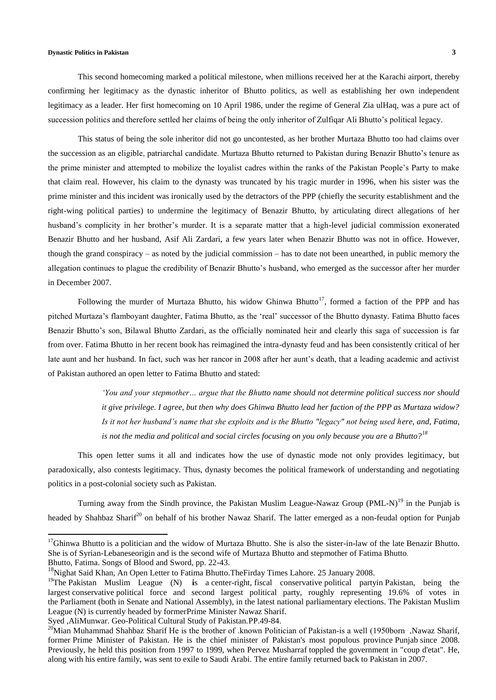#### **Dynastic Politics in Pakistan 3**

This second homecoming marked a political milestone, when millions received her at the Karachi airport, thereby confirming her legitimacy as the dynastic inheritor of Bhutto politics, as well as establishing her own independent legitimacy as a leader. Her first homecoming on 10 April 1986, under the regime of General Zia ulHaq, was a pure act of succession politics and therefore settled her claims of being the only inheritor of Zulfiqar Ali Bhutto's political legacy.

This status of being the sole inheritor did not go uncontested, as her brother Murtaza Bhutto too had claims over the succession as an eligible, patriarchal candidate. Murtaza Bhutto returned to Pakistan during Benazir Bhutto's tenure as the prime minister and attempted to mobilize the loyalist cadres within the ranks of the Pakistan People's Party to make that claim real. However, his claim to the dynasty was truncated by his tragic murder in 1996, when his sister was the prime minister and this incident was ironically used by the detractors of the PPP (chiefly the security establishment and the right-wing political parties) to undermine the legitimacy of Benazir Bhutto, by articulating direct allegations of her husband's complicity in her brother's murder. It is a separate matter that a high-level judicial commission exonerated Benazir Bhutto and her husband, Asif Ali Zardari, a few years later when Benazir Bhutto was not in office. However, though the grand conspiracy – as noted by the judicial commission – has to date not been unearthed, in public memory the allegation continues to plague the credibility of Benazir Bhutto's husband, who emerged as the successor after her murder in December 2007.

Following the murder of Murtaza Bhutto, his widow Ghinwa Bhutto<sup>17</sup>, formed a faction of the PPP and has pitched Murtaza's flamboyant daughter, Fatima Bhutto, as the 'real' successor of the Bhutto dynasty. Fatima Bhutto faces Benazir Bhutto's son, Bilawal Bhutto Zardari, as the officially nominated heir and clearly this saga of succession is far from over. Fatima Bhutto in her recent book has reimagined the intra-dynasty feud and has been consistently critical of her late aunt and her husband. In fact, such was her rancor in 2008 after her aunt's death, that a leading academic and activist of Pakistan authored an open letter to Fatima Bhutto and stated:

> *'You and your stepmother… argue that the Bhutto name should not determine political success nor should it give privilege. I agree, but then why does Ghinwa Bhutto lead her faction of the PPP as Murtaza widow? Is it not her husband's name that she exploits and is the Bhutto "legacy" not being used here, and, Fatima, is not the media and political and social circles focusing on you only because you are a Bhutto?<sup>18</sup>*

This open letter sums it all and indicates how the use of dynastic mode not only provides legitimacy, but paradoxically, also contests legitimacy. Thus, dynasty becomes the political framework of understanding and negotiating politics in a post-colonial society such as Pakistan.

Turning away from the Sindh province, the Pakistan Muslim League-Nawaz Group (PML-N)<sup>19</sup> in the Punjab is headed by Shahbaz Sharif<sup>20</sup> on behalf of his brother Nawaz Sharif. The latter emerged as a non-feudal option for Punjab

 $\overline{a}$ 

 $17$ Ghinwa Bhutto is a [politician](http://en.wikipedia.org/wiki/Politician) and the widow of [Murtaza Bhutto.](http://en.wikipedia.org/wiki/Murtaza_Bhutto) She is also the sister-in-law of the late [Benazir Bhutto.](http://en.wikipedia.org/wiki/Benazir_Bhutto) She is of [Syrian](http://en.wikipedia.org/wiki/Syrian)[-Lebaneseo](http://en.wikipedia.org/wiki/Lebanese_people)rigin and is the second wife of [Murtaza Bhutto](http://en.wikipedia.org/wiki/Murtaza_Bhutto) and stepmother of [Fatima Bhutto](http://en.wikipedia.org/wiki/Fatima_Bhutto). Bhutto, Fatima. Songs of Blood and Sword, pp. 22-43.

<sup>&</sup>lt;sup>18</sup>Nighat Said Khan, An Open Letter to Fatima Bhutto.TheFirday Times Lahore. 25 January 2008.

<sup>&</sup>lt;sup>19</sup>The Pakistan Muslim League (N) is a [center-right,](http://en.wikipedia.org/wiki/Center-right) [fiscal conservative](http://en.wikipedia.org/wiki/Fiscal_Conservatism) [political partyi](http://en.wikipedia.org/wiki/Political_party)n [Pakistan,](http://en.wikipedia.org/wiki/Pakistan) being the largest [conservative](http://en.wikipedia.org/wiki/Right-wing_politics) political force and second largest political party, roughly representing 19.6% of votes in the [Parliament](http://en.wikipedia.org/wiki/Pakistan_Parliament) (both in [Senate](http://en.wikipedia.org/wiki/Pakistan_Senate) and [National Assembly\)](http://en.wikipedia.org/wiki/Pakistan_National_Assembly), in the latest national [parliamentary elections.](http://en.wikipedia.org/wiki/Pakistani_general_election,_2008) The Pakistan Muslim League (N) is currently headed by forme[rPrime Minister](http://en.wikipedia.org/wiki/Prime_Minister_of_Pakistan) [Nawaz Sharif.](http://en.wikipedia.org/wiki/Nawaz_Sharif)

Syed ,AliMunwar. Geo-Political Cultural Study of Pakistan.PP.49-84.

<sup>&</sup>lt;sup>20</sup>Mian Muhammad Shahbaz Shari[f](http://en.wikipedia.org/wiki/Nawaz_Sharif) He is the brother of .known Politician of Pakistan-is a well (1950born [,Nawaz Sharif,](http://en.wikipedia.org/wiki/Nawaz_Sharif) former [Prime Minister of Pakistan.](http://en.wikipedia.org/wiki/Prime_Minister_of_Pakistan) He is the chief minister of Pakistan's most populous province [Punjab](http://en.wikipedia.org/wiki/Punjab_(Pakistan)) since 2008. Previously, he held this position from 1997 to 1999, when [Pervez Musharraf](http://en.wikipedia.org/wiki/Pervez_Musharraf) toppled the government in "coup d'etat". He, along with his entire family, was sent to exile to Saudi Arabi. The entire family returned back to Pakistan in 2007.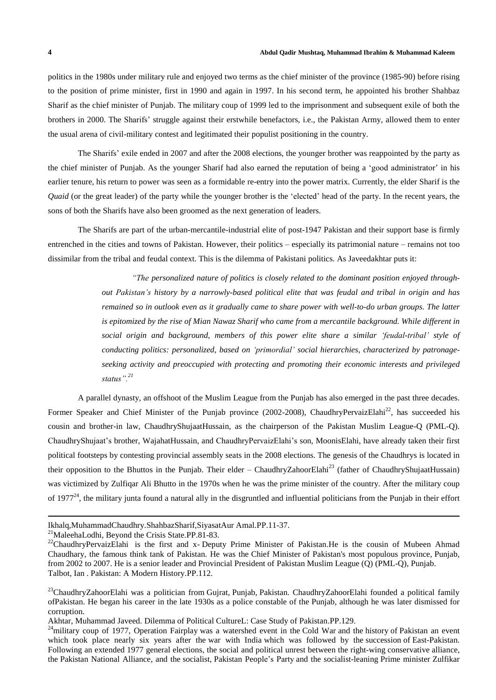politics in the 1980s under military rule and enjoyed two terms as the chief minister of the province (1985-90) before rising to the position of prime minister, first in 1990 and again in 1997. In his second term, he appointed his brother Shahbaz Sharif as the chief minister of Punjab. The military coup of 1999 led to the imprisonment and subsequent exile of both the brothers in 2000. The Sharifs' struggle against their erstwhile benefactors, i.e., the Pakistan Army, allowed them to enter the usual arena of civil-military contest and legitimated their populist positioning in the country.

The Sharifs' exile ended in 2007 and after the 2008 elections, the younger brother was reappointed by the party as the chief minister of Punjab. As the younger Sharif had also earned the reputation of being a 'good administrator' in his earlier tenure, his return to power was seen as a formidable re-entry into the power matrix. Currently, the elder Sharif is the *Quaid* (or the great leader) of the party while the younger brother is the 'elected' head of the party. In the recent years, the sons of both the Sharifs have also been groomed as the next generation of leaders.

The Sharifs are part of the urban-mercantile-industrial elite of post-1947 Pakistan and their support base is firmly entrenched in the cities and towns of Pakistan. However, their politics – especially its patrimonial nature – remains not too dissimilar from the tribal and feudal context. This is the dilemma of Pakistani politics. As Javeedakhtar puts it:

> *"The personalized nature of politics is closely related to the dominant position enjoyed throughout Pakistan's history by a narrowly-based political elite that was feudal and tribal in origin and has* remained so in outlook even as it gradually came to share power with well-to-do urban groups. The latter is epitomized by the rise of Mian Nawaz Sharif who came from a mercantile background. While different in *social origin and background, members of this power elite share a similar 'feudal-tribal' style of conducting politics: personalized, based on 'primordial' social hierarchies, characterized by patronageseeking activity and preoccupied with protecting and promoting their economic interests and privileged status".<sup>21</sup>*

A parallel dynasty, an offshoot of the Muslim League from the Punjab has also emerged in the past three decades. Former Speaker and Chief Minister of the Punjab province (2002-2008), ChaudhryPervaizElahi<sup>22</sup>, has succeeded his cousin and brother-in law, ChaudhryShujaatHussain, as the chairperson of the Pakistan Muslim League-Q (PML-Q). ChaudhryShujaat's brother, WajahatHussain, and ChaudhryPervaizElahi's son, MoonisElahi, have already taken their first political footsteps by contesting provincial assembly seats in the 2008 elections. The genesis of the Chaudhrys is located in their opposition to the Bhuttos in the Punjab. Their elder – ChaudhryZahoorElahi<sup>23</sup> (father of ChaudhryShujaatHussain) was victimized by Zulfiqar Ali Bhutto in the 1970s when he was the prime minister of the country. After the military coup of 1977 $^{24}$ , the military junta found a natural ally in the disgruntled and influential politicians from the Punjab in their effort

 $\overline{a}$ 

Ikhalq,MuhammadChaudhry.ShahbazSharif,SiyasatAur Amal.PP.11-37.

 $^{21}$ MaleehaLodhi, Beyond the Crisis State.PP.81-83.

<sup>&</sup>lt;sup>22</sup>ChaudhryPervaizElahi is the first and x- [Deputy Prime Minister of Pakistan.H](http://en.wikipedia.org/wiki/Deputy_Prime_Minister_of_Pakistan)e is the cousin of Mubeen Ahmad Chaudhary, the famous think tank of Pakistan. He was the [Chief Minister](http://en.wikipedia.org/wiki/Chief_Minister) of Pakistan's most populous province, [Punjab,](http://en.wikipedia.org/wiki/Punjab_(Pakistan)) from 2002 to 2007. He is a senior leader and Provincial President of [Pakistan Muslim League \(Q\)](http://en.wikipedia.org/wiki/Pakistan_Muslim_League_(Q)) (PML-Q), [Punjab.](http://en.wikipedia.org/wiki/Punjab,_Pakistan) Talbot, Ian . Pakistan: A Modern History.PP.112.

<sup>&</sup>lt;sup>23</sup>ChaudhryZahoorElahi was a politician from [Gujrat,](http://en.wikipedia.org/wiki/Gujrat) [Punjab,](http://en.wikipedia.org/wiki/Punjab_(Pakistan)) [Pakistan.](http://en.wikipedia.org/wiki/Pakistan) ChaudhryZahoorElahi founded a political family o[fPakistan.](http://en.wikipedia.org/wiki/Pakistan) He began his career in the late 1930s as a police constable of the [Punjab,](http://en.wikipedia.org/wiki/Punjab_(British_India)) although he was later dismissed for corruption.

Akhtar, Muhammad Javeed. Dilemma of Political CultureL: Case Study of Pakistan.PP.129.

 $24$ military coup of 1977, Operation Fairplay was a watershed event in the [Cold War](http://en.wikipedia.org/wiki/Cold_War) and the [history](http://en.wikipedia.org/wiki/History_of_Pakistan) of [Pakistan](http://en.wikipedia.org/wiki/Pakistan) an event which took place nearly six years after the [war with India](http://en.wikipedia.org/wiki/Indo-Pakistani_war_of_1971) which was followed by the [succession](http://en.wikipedia.org/wiki/Bangladesh_Liberation_War) of [East-Pakistan.](http://en.wikipedia.org/wiki/East_Pakistan) Following an extended [1977 general elections,](http://en.wikipedia.org/wiki/Pakistani_general_elections,_1977) the social and political unrest between the [right-wing](http://en.wikipedia.org/wiki/Right-wing_politics) [conservative](http://en.wikipedia.org/wiki/Conservative) alliance, the [Pakistan National Alliance,](http://en.wikipedia.org/wiki/Pakistan_National_Alliance) and the [socialist,](http://en.wikipedia.org/wiki/Democratic_socialism) [Pakistan People's Party](http://en.wikipedia.org/wiki/Pakistan_Peoples_Party) and the socialist-leaning [Prime minister](http://en.wikipedia.org/wiki/Prime_Minister_of_Pakistan) [Zulfikar](http://en.wikipedia.org/wiki/Zulfikar_Ali_Bhutto)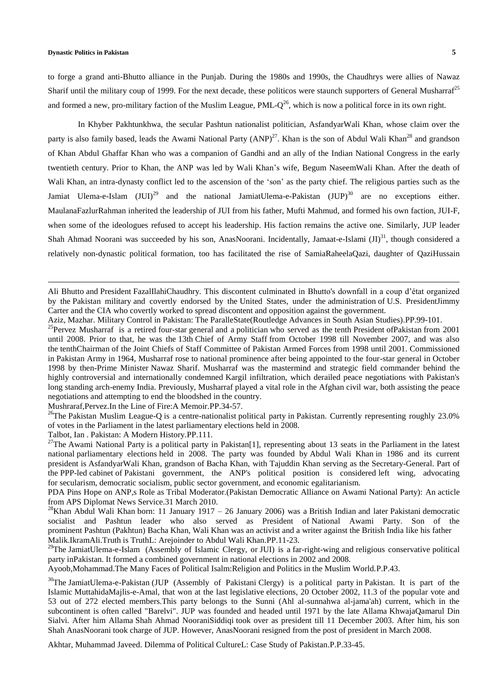#### **Dynastic Politics in Pakistan 5**

 $\overline{a}$ 

to forge a grand anti-Bhutto alliance in the Punjab. During the 1980s and 1990s, the Chaudhrys were allies of Nawaz Sharif until the military coup of 1999. For the next decade, these politicos were staunch supporters of General Musharrat<sup>25</sup> and formed a new, pro-military faction of the Muslim League, PML- $Q^{26}$ , which is now a political force in its own right.

In Khyber Pakhtunkhwa, the secular Pashtun nationalist politician, AsfandyarWali Khan, whose claim over the party is also family based, leads the Awami National Party (ANP)<sup>27</sup>. Khan is the son of Abdul Wali Khan<sup>28</sup> and grandson of Khan Abdul Ghaffar Khan who was a companion of Gandhi and an ally of the Indian National Congress in the early twentieth century. Prior to Khan, the ANP was led by Wali Khan's wife, Begum NaseemWali Khan. After the death of Wali Khan, an intra-dynasty conflict led to the ascension of the 'son' as the party chief. The religious parties such as the Jamiat Ulema-e-Islam (JUI)<sup>29</sup> and the national JamiatUlema-e-Pakistan (JUP)<sup>30</sup> are no exceptions either. MaulanaFazlurRahman inherited the leadership of JUI from his father, Mufti Mahmud, and formed his own faction, JUI-F, when some of the ideologues refused to accept his leadership. His faction remains the active one. Similarly, JUP leader Shah Ahmad Noorani was succeeded by his son, AnasNoorani. Incidentally, Jamaat-e-Islami  $(JI)^{31}$ , though considered a relatively non-dynastic political formation, too has facilitated the rise of SamiaRaheelaQazi, daughter of QaziHussain

Ali Bhutto and [President](http://en.wikipedia.org/wiki/President_of_Pakistan) [FazalIlahiChaudhry.](http://en.wikipedia.org/wiki/Fazal_Ilahi_Chaudhry) This discontent culminated in Bhutto's downfall in a coup d'état organized by the [Pakistan military](http://en.wikipedia.org/wiki/Pakistan_military) and covertly endorsed by the [United States,](http://en.wikipedia.org/wiki/United_States) under the [administration](http://en.wikipedia.org/wiki/Carter_administration) of [U.S. PresidentJimmy](http://en.wikipedia.org/wiki/President_of_the_United_States)  Carter and the [CIA](http://en.wikipedia.org/wiki/Central_Intelligence_Agency) who covertly worked to spread discontent and opposition against the government.

Aziz, Mazhar. Military Control in Pakistan: The ParalleState(Routledge Advances in South Asian Studies).PP.99-101.

<sup>25</sup>Pervez Musharraf is a retired [four-star](http://en.wikipedia.org/wiki/Four-star_general) [general](http://en.wikipedia.org/wiki/General_officer) and a [politician](http://en.wikipedia.org/wiki/Pakistani_politician) who served as the [tenth](http://en.wikipedia.org/wiki/List_of_Presidents_of_Pakistan) [President](http://en.wikipedia.org/wiki/President_of_Pakistan) o[fPakistan](http://en.wikipedia.org/wiki/Pakistan) from 2001 until 2008. Prior to that, he was the [13th](http://en.wikipedia.org/wiki/Chief_of_Army_Staff_(Pakistan)#List_of_Chiefs_of_Army_Staff) [Chief of Army Staff](http://en.wikipedia.org/wiki/Chief_of_Army_Staff_(Pakistan)) from October 1998 till November 2007, and was also the [tenthChairman](http://en.wikipedia.org/wiki/Chairman_Joint_Chiefs_of_Staff_Committee_(Pakistan)#List_of_Chairman_Joint_Chiefs) of the [Joint Chiefs of Staff Committee](http://en.wikipedia.org/wiki/Joint_Chiefs_of_Staff_Committee) of [Pakistan Armed Forces](http://en.wikipedia.org/wiki/Pakistan_Armed_Forces) from 1998 until 2001. Commissioned in [Pakistan Army](http://en.wikipedia.org/wiki/Pakistan_Army) in 1964, Musharraf rose to national prominence after being appointed to the four-star general in October 1998 by then[-Prime Minister](http://en.wikipedia.org/wiki/Prime_Minister_of_Pakistan) [Nawaz Sharif.](http://en.wikipedia.org/wiki/Nawaz_Sharif) Musharraf was the mastermind and strategic field commander behind the highly controversial and internationally condemned [Kargil infiltration,](http://en.wikipedia.org/wiki/Indo-Pakistani_War_of_1999) which derailed peace negotiations with Pakistan's long standing arch-enemy [India.](http://en.wikipedia.org/wiki/India) Previously, Musharraf played a vital role in the [Afghan civil war,](http://en.wikipedia.org/wiki/Afghan_Civil_War_(1996-2001)) both assisting the peace negotiations and attempting to end the bloodshed in the country.

Mushraraf,Pervez.In the Line of Fire:A Memoir.PP.34-57.

<sup>26</sup>The Pakistan Muslim League-Q is a [centre](http://en.wikipedia.org/wiki/Centrism)[-nationalist](http://en.wikipedia.org/wiki/Nationalism_in_Pakistan) [political party](http://en.wikipedia.org/wiki/Political_party) in [Pakistan.](http://en.wikipedia.org/wiki/Pakistan) Currently representing roughly 23.0% of votes in the [Parliament](http://en.wikipedia.org/wiki/Parliament_of_Pakistan) in the [latest parliamentary](http://en.wikipedia.org/wiki/Pakistani_general_election,_2008) elections held in 2008.

Talbot, Ian . Pakistan: A Modern History.PP.111.

<sup>27</sup>The Awami National Party is a [political party in Pakistan\[1\],](http://en.wikipedia.org/wiki/List_of_political_parties_in_Pakistan) representing about 13 seats in the [Parliament](http://en.wikipedia.org/wiki/Parliament_of_Pakistan) in the latest national [parliamentary elections](http://en.wikipedia.org/wiki/Pakistani_general_election,_2008) held in 2008. The party was founded by [Abdul Wali Khan](http://en.wikipedia.org/wiki/Abdul_Wali_Khan) in 1986 and its current president is [AsfandyarWali Khan,](http://en.wikipedia.org/wiki/Asfandyar_Wali_Khan) grandson of [Bacha Khan,](http://en.wikipedia.org/wiki/Khan_Abdul_Ghaffar_Khan) with Tajuddin Khan serving as the [Secretary-General.](http://en.wikipedia.org/wiki/Secretary-General) Part of the [PPP-](http://en.wikipedia.org/wiki/Pakistan_Peoples_Party)led [cabinet](http://en.wikipedia.org/wiki/Cabinet_of_Pakistan) of [Pakistani government,](http://en.wikipedia.org/wiki/Pakistani_government) the ANP's political position is considered [left wing,](http://en.wikipedia.org/wiki/Left-wing_politics) advocating for [secularism,](http://en.wikipedia.org/wiki/Secularism) [democratic socialism,](http://en.wikipedia.org/wiki/Socialism_in_Pakistan) [public sector](http://en.wikipedia.org/wiki/Public_sector) government, and [economic egalitarianism.](http://en.wikipedia.org/wiki/Economic_egalitarianism)

PDA Pins Hope on ANP,s Role as Tribal Moderator.(Pakistan Democratic Alliance on Awami National Party): An acticle from APS Diplomat News Service.31 March 2010.

<sup>28</sup>Khan Abdul Wali Khan born: 11 January 1917 – 26 January 2006) was a [British Indian](http://en.wikipedia.org/wiki/British_Indian) and later [Pakistani](http://en.wikipedia.org/wiki/People_of_Pakistan) democratic socialist and Pashtun leader who also served as President of [National Awami Party.](http://en.wikipedia.org/wiki/National_Awami_Party) Son of the prominent [Pashtun](http://en.wikipedia.org/wiki/Pashtun_people) (Pakhtun) [Bacha Khan,](http://en.wikipedia.org/wiki/Khan_Abdul_Ghaffar_Khan) Wali Khan was an [activist](http://en.wikipedia.org/wiki/Indian_independence_movement) and a [writer](http://en.wikipedia.org/wiki/Writer) against the [British India](http://en.wikipedia.org/wiki/British_Raj) like his father Malik.IkramAli.Truth is TruthL: Arejoinder to Abdul Wali Khan.PP.11-23.

<sup>29</sup>The JamiatUlema-e-Islam (Assembly of Islamic Clergy, or JUI) is a [far-right-wing](http://en.wikipedia.org/wiki/Far_right-wing) and [religious conservative](http://en.wikipedia.org/wiki/Religious_conservative) political party i[nPakistan.](http://en.wikipedia.org/wiki/Pakistan) It formed a combined government in national elections in 2002 and 2008.

Ayoob,Mohammad.The Many Faces of Political Isalm:Religion and Politics in the Muslim World.P.P.43.

<sup>30</sup>The JamiatUlema-e-Pakistan (JUP (Assembly of Pakistani [Clergy\)](http://en.wikipedia.org/wiki/Ulema) is a [political party](http://en.wikipedia.org/wiki/Political_party) in [Pakistan.](http://en.wikipedia.org/wiki/Pakistan) It is part of the Islamic [MuttahidaMajlis-e-Amal,](http://en.wikipedia.org/wiki/Muttahida_Majlis-e-Amal) that won at the last [legislative](http://en.wikipedia.org/wiki/Legislative) [elections,](http://en.wikipedia.org/wiki/Elections_in_Pakistan) 20 October 2002, 11.3 of the popular vote and 53 out of 272 elected members.This party belongs to the Sunni (Ahl al-sunnahwa al-jama'ah) current, which in the subcontinent is often called ["Barelvi"](http://en.wikipedia.org/wiki/Barelvi). JUP was founded and headed until 1971 by the late Allama [KhwajaQamarul Din](http://en.wikipedia.org/wiki/Khwaja_Qamar_ul_Din_Sialvi)  [Sialvi.](http://en.wikipedia.org/wiki/Khwaja_Qamar_ul_Din_Sialvi) After him Allama [Shah Ahmad NooraniSiddiqi](http://en.wikipedia.org/wiki/Shah_Ahmad_Noorani_Siddiqi) took over as president till 11 December 2003. After him, his son Shah AnasNoorani took charge of JUP. However, AnasNoorani resigned from the post of president in March 2008.

Akhtar, Muhammad Javeed. Dilemma of Political CultureL: Case Study of Pakistan.P.P.33-45.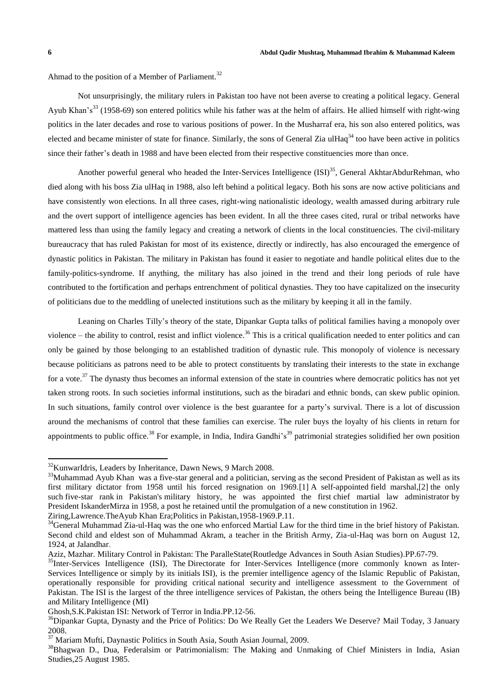$\overline{a}$ 

Ahmad to the position of a Member of Parliament.<sup>32</sup>

Not unsurprisingly, the military rulers in Pakistan too have not been averse to creating a political legacy. General Ayub Khan's<sup>33</sup> (1958-69) son entered politics while his father was at the helm of affairs. He allied himself with right-wing politics in the later decades and rose to various positions of power. In the Musharraf era, his son also entered politics, was elected and became minister of state for finance. Similarly, the sons of General Zia ulHaq<sup>34</sup> too have been active in politics since their father's death in 1988 and have been elected from their respective constituencies more than once.

Another powerful general who headed the Inter-Services Intelligence (ISI)<sup>35</sup>, General AkhtarAbdurRehman, who died along with his boss Zia ulHaq in 1988, also left behind a political legacy. Both his sons are now active politicians and have consistently won elections. In all three cases, right-wing nationalistic ideology, wealth amassed during arbitrary rule and the overt support of intelligence agencies has been evident. In all the three cases cited, rural or tribal networks have mattered less than using the family legacy and creating a network of clients in the local constituencies. The civil-military bureaucracy that has ruled Pakistan for most of its existence, directly or indirectly, has also encouraged the emergence of dynastic politics in Pakistan. The military in Pakistan has found it easier to negotiate and handle political elites due to the family-politics-syndrome. If anything, the military has also joined in the trend and their long periods of rule have contributed to the fortification and perhaps entrenchment of political dynasties. They too have capitalized on the insecurity of politicians due to the meddling of unelected institutions such as the military by keeping it all in the family.

Leaning on Charles Tilly's theory of the state, Dipankar Gupta talks of political families having a monopoly over violence – the ability to control, resist and inflict violence.<sup>36</sup> This is a critical qualification needed to enter politics and can only be gained by those belonging to an established tradition of dynastic rule. This monopoly of violence is necessary because politicians as patrons need to be able to protect constituents by translating their interests to the state in exchange for a vote.<sup>37</sup> The dynasty thus becomes an informal extension of the state in countries where democratic politics has not yet taken strong roots. In such societies informal institutions, such as the biradari and ethnic bonds, can skew public opinion. In such situations, family control over violence is the best guarantee for a party's survival. There is a lot of discussion around the mechanisms of control that these families can exercise. The ruler buys the loyalty of his clients in return for appointments to public office.<sup>38</sup> For example, in India, Indira Gandhi's<sup>39</sup> patrimonial strategies solidified her own position

<sup>&</sup>lt;sup>32</sup>KunwarIdris, Leaders by Inheritance, Dawn News, 9 March 2008.

 $33$ Muhammad Ayub Khan was a [five-star](http://en.wikipedia.org/wiki/Five-star_rank) general and a [politician,](http://en.wikipedia.org/wiki/Politician) serving as the [second](http://en.wikipedia.org/wiki/List_of_Presidents_of_Pakistan) [President of Pakistan](http://en.wikipedia.org/wiki/President_of_Pakistan) as well as its first military dictator from 1958 until his forced resignation on 1969[.\[1\]](http://en.wikipedia.org/wiki/Ayub_Khan_(Field_Marshal)#cite_note-Story_of_Pakistan.2C_Part-1-1) A self-appointed [field marshal,](http://en.wikipedia.org/wiki/Field_marshal)[\[2\]](http://en.wikipedia.org/wiki/Ayub_Khan_(Field_Marshal)#cite_note-Story_of_Pakistan.2C_Part-3-2) the only such [five-star rank](http://en.wikipedia.org/wiki/5-star_rank) in Pakistan's [military history,](http://en.wikipedia.org/wiki/Pakistani_military_history) he was appointed the first [chief martial law administrator](http://en.wikipedia.org/wiki/Chief_Martial_Law_Administrator) by President [IskanderMirza](http://en.wikipedia.org/wiki/Iskander_Mirza) in 1958, a post he retained until the promulgation of a [new constitution](http://en.wikipedia.org/wiki/Constitution_of_Pakistan_of_1962) in 1962. Ziring,Lawrence.TheAyub Khan Era;Politics in Pakistan,1958-1969.P.11.

<sup>&</sup>lt;sup>34</sup>General Muhammad Zia-ul-Haq was the one who enforced Martial Law for the third time in the brief history of Pakistan. Second child and eldest son of Muhammad Akram, a teacher in the British Army, Zia-ul-Haq was born on August 12, 1924, at Jalandhar.

Aziz, Mazhar. Military Control in Pakistan: The ParalleState(Routledge Advances in South Asian Studies).PP.67-79.

<sup>&</sup>lt;sup>35</sup>Inter-Services Intelligence (ISI), The Directorate for Inter-Services Intelligence (more commonly known as InterServices Intelligence or simply by its initials ISI), is the premier [intelligence agency](http://en.wikipedia.org/wiki/Intelligence_agency) of the [Islamic Republic of Pakistan,](http://en.wikipedia.org/wiki/Islamic_Republic_of_Pakistan) operationally responsible for providing critical [national security](http://en.wikipedia.org/wiki/National_security) and intelligence assessment to the [Government of](http://en.wikipedia.org/wiki/Government_of_Pakistan)  [Pakistan.](http://en.wikipedia.org/wiki/Government_of_Pakistan) The ISI is the largest of the three [intelligence services](http://en.wikipedia.org/wiki/List_of_Pakistani_intelligence_agencies) of Pakistan, the others being the [Intelligence Bureau](http://en.wikipedia.org/wiki/Intelligence_Bureau_(Pakistan)) (IB) and [Military Intelligence](http://en.wikipedia.org/wiki/Military_Intelligence_of_Pakistan) (MI)

Ghosh,S.K.Pakistan ISI: Network of Terror in India.PP.12-56.

<sup>&</sup>lt;sup>36</sup>Dipankar Gupta, Dynasty and the Price of Politics: Do We Really Get the Leaders We Deserve? Mail Today, 3 January 2008.

<sup>37</sup> Mariam Mufti, Daynastic Politics in South Asia, South Asian Journal, 2009.

<sup>&</sup>lt;sup>38</sup>Bhagwan D., Dua, Federalsim or Patrimonialism: The Making and Unmaking of Chief Ministers in India, Asian Studies,25 August 1985.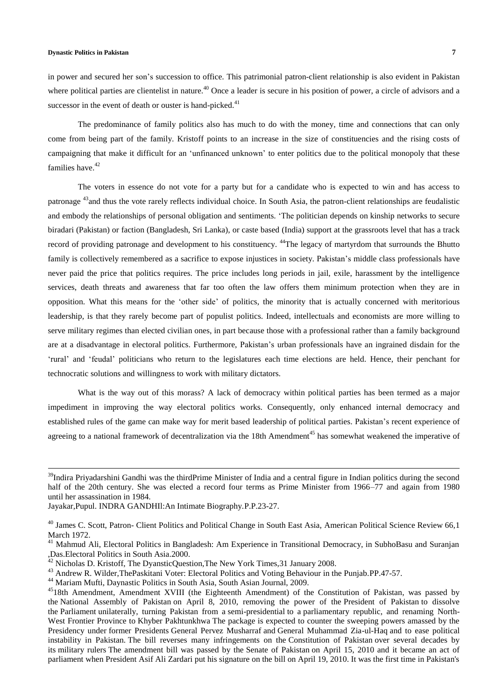#### **Dynastic Politics in Pakistan 7**

 $\overline{a}$ 

in power and secured her son's succession to office. This patrimonial patron-client relationship is also evident in Pakistan where political parties are clientelist in nature.<sup>40</sup> Once a leader is secure in his position of power, a circle of advisors and a successor in the event of death or ouster is hand-picked. $41$ 

The predominance of family politics also has much to do with the money, time and connections that can only come from being part of the family. Kristoff points to an increase in the size of constituencies and the rising costs of campaigning that make it difficult for an 'unfinanced unknown' to enter politics due to the political monopoly that these families have.<sup>42</sup>

The voters in essence do not vote for a party but for a candidate who is expected to win and has access to patronage <sup>43</sup>and thus the vote rarely reflects individual choice. In South Asia, the patron-client relationships are feudalistic and embody the relationships of personal obligation and sentiments. 'The politician depends on kinship networks to secure biradari (Pakistan) or faction (Bangladesh, Sri Lanka), or caste based (India) support at the grassroots level that has a track record of providing patronage and development to his constituency. <sup>44</sup>The legacy of martyrdom that surrounds the Bhutto family is collectively remembered as a sacrifice to expose injustices in society. Pakistan's middle class professionals have never paid the price that politics requires. The price includes long periods in jail, exile, harassment by the intelligence services, death threats and awareness that far too often the law offers them minimum protection when they are in opposition. What this means for the 'other side' of politics, the minority that is actually concerned with meritorious leadership, is that they rarely become part of populist politics. Indeed, intellectuals and economists are more willing to serve military regimes than elected civilian ones, in part because those with a professional rather than a family background are at a disadvantage in electoral politics. Furthermore, Pakistan's urban professionals have an ingrained disdain for the 'rural' and 'feudal' politicians who return to the legislatures each time elections are held. Hence, their penchant for technocratic solutions and willingness to work with military dictators.

What is the way out of this morass? A lack of democracy within political parties has been termed as a major impediment in improving the way electoral politics works. Consequently, only enhanced internal democracy and established rules of the game can make way for merit based leadership of political parties. Pakistan's recent experience of agreeing to a national framework of decentralization via the 18th Amendment<sup>45</sup> has somewhat weakened the imperative of

<sup>44</sup> Mariam Mufti, Daynastic Politics in South Asia, South Asian Journal, 2009.

 $39$ Indira Priyadarshini Gandhi was the [thirdPrime Minister](http://en.wikipedia.org/wiki/List_of_Prime_Ministers_of_India) of [India](http://en.wikipedia.org/wiki/India) and a central figure in Indian politics during the second half of the 20th century. She was elected a record four terms as Prime Minister from 1966–77 and again from 1980 until [her assassination](http://en.wikipedia.org/wiki/Assassination_of_Indira_Gandhi) in 1984.

Jayakar,Pupul. INDRA GANDHIl:An Intimate Biography.P.P.23-27.

<sup>&</sup>lt;sup>40</sup> James C. Scott, Patron- Client Politics and Political Change in South East Asia, American Political Science Review 66,1 March 1972.

<sup>&</sup>lt;sup>41</sup> Mahmud Ali, Electoral Politics in Bangladesh: Am Experience in Transitional Democracy, in SubhoBasu and Suranjan ,Das.Electoral Politics in South Asia.2000.

 $42$  Nicholas D. Kristoff, The DyansticQuestion, The New York Times, 31 January 2008.

<sup>&</sup>lt;sup>43</sup> Andrew R. Wilder, The Paskitani Voter: Electoral Politics and Voting Behaviour in the Punjab. PP.47-57.

<sup>&</sup>lt;sup>45</sup>18th Amendment, Amendment XVIII (the Eighteenth Amendment) of the Constitution of Pakistan, was passed by the [National Assembly of Pakistan](http://en.wikipedia.org/wiki/National_Assembly_of_Pakistan) on April 8, 2010, removing the power of the [President of Pakistan](http://en.wikipedia.org/wiki/President_of_Pakistan) to dissolve the [Parliament](http://en.wikipedia.org/wiki/Parliament_of_Pakistan) unilaterally, turning Pakistan from a [semi-presidential](http://en.wikipedia.org/wiki/Semi-presidential_system) to a [parliamentary republic,](http://en.wikipedia.org/wiki/Parliamentary_republic) and renaming North-West Frontier Province to [Khyber Pakhtunkhwa](http://en.wikipedia.org/wiki/Khyber_Pakhtunkhwa) The package is expected to counter the sweeping powers amassed by the Presidency under [former Presidents](http://en.wikipedia.org/wiki/List_of_Presidents_of_Pakistan) [General Pervez Musharraf](http://en.wikipedia.org/wiki/General_Pervez_Musharraf) and [General Muhammad Zia-ul-Haq](http://en.wikipedia.org/wiki/General_Muhammad_Zia-ul-Haq) and to ease political instability in Pakistan. The bill reverses many infringements on the [Constitution of Pakistan](http://en.wikipedia.org/wiki/Constitution_of_Pakistan) over several decades by its [military rulers](http://en.wikipedia.org/wiki/Military_dictatorship) The amendment bill was passed by the [Senate of Pakistan](http://en.wikipedia.org/wiki/Senate_of_Pakistan) on April 15, 2010 and it became an act of parliament when President [Asif Ali Zardari](http://en.wikipedia.org/wiki/Asif_Ali_Zardari) put his signature on the bill on April 19, 2010. It was the first time in Pakistan's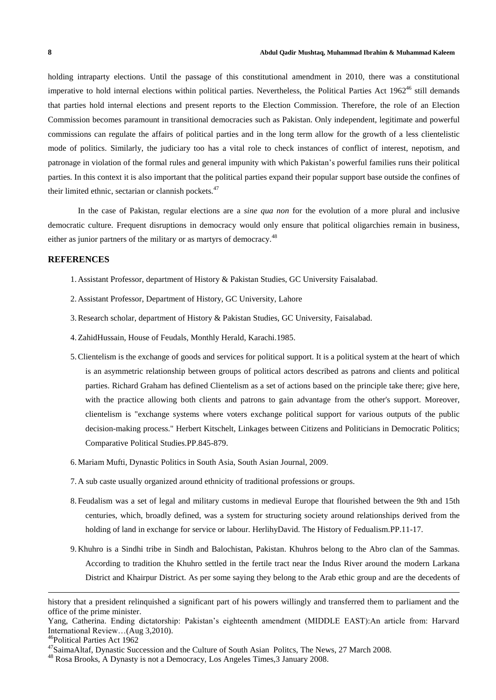holding intraparty elections. Until the passage of this constitutional amendment in 2010, there was a constitutional imperative to hold internal elections within political parties. Nevertheless, the Political Parties Act  $1962^{46}$  still demands that parties hold internal elections and present reports to the Election Commission. Therefore, the role of an Election Commission becomes paramount in transitional democracies such as Pakistan. Only independent, legitimate and powerful commissions can regulate the affairs of political parties and in the long term allow for the growth of a less clientelistic mode of politics. Similarly, the judiciary too has a vital role to check instances of conflict of interest, nepotism, and patronage in violation of the formal rules and general impunity with which Pakistan's powerful families runs their political parties. In this context it is also important that the political parties expand their popular support base outside the confines of their limited ethnic, sectarian or clannish pockets. $47$ 

In the case of Pakistan, regular elections are a *sine qua non* for the evolution of a more plural and inclusive democratic culture. Frequent disruptions in democracy would only ensure that political oligarchies remain in business, either as junior partners of the military or as martyrs of democracy.<sup>48</sup>

## **REFERENCES**

- 1. Assistant Professor, department of History & Pakistan Studies, GC University Faisalabad.
- 2. Assistant Professor, Department of History, GC University, Lahore
- 3.Research scholar, department of History & Pakistan Studies, GC University, Faisalabad.
- 4.ZahidHussain, House of Feudals, Monthly Herald, Karachi.1985.
- 5.Clientelism is the exchange of goods and services for political support. It is a political system at the heart of which is an asymmetric relationship between groups of political actors described as patrons and clients and political parties. Richard [Graham](http://en.wikipedia.org/wiki/Richard_Graham_(historian)) has defined Clientelism as a set of actions based on the principle take there; give here, with the practice allowing both clients and patrons to gain advantage from the other's support. Moreover, clientelism is "exchange systems where voters exchange political support for various outputs of the public decision-making process." Herbert Kitschelt, Linkages between Citizens and Politicians in Democratic Politics; Comparative Political Studies.PP.845-879.
- 6.Mariam Mufti, Dynastic Politics in South Asia, South Asian Journal, 2009.
- 7. A sub caste usually organized around ethnicity of traditional professions or groups.
- 8. Feudalism was a set of legal and military customs in [medieval](http://en.wikipedia.org/wiki/Medieval_Europe) Europe that flourished between the 9th and 15th centuries, which, broadly defined, was a system for structuring society around relationships derived from the holding of land in exchange for service or labour. HerlihyDavid. The History of Fedualism.PP.11-17.
- 9. Khuhro is a [Sindhi](http://en.wikipedia.org/wiki/Sindhi_people) tribe in [Sindh](http://en.wikipedia.org/wiki/Sindh) and [Balochistan,](http://en.wikipedia.org/wiki/Balochistan_(Pakistan)) [Pakistan.](http://en.wikipedia.org/wiki/Pakistan) Khuhros belong to the [Abro](http://en.wikipedia.org/wiki/Abro) clan of the Sammas. According to tradition the Khuhro settled in the fertile tract near the Indus River around the modern [Larkana](http://en.wikipedia.org/wiki/Larkana_District) [District](http://en.wikipedia.org/wiki/Larkana_District) and [Khairpur](http://en.wikipedia.org/wiki/Khairpur_District) District. As per some saying they belong to the Arab ethic group and are the decedents of

 $\overline{a}$ 

history that a president relinquished a significant part of his powers willingly and transferred them to parliament and the office of the prime minister.

Yang, Catherina. Ending dictatorship: Pakistan's eighteenth amendment (MIDDLE EAST):An article from: Harvard International Review…(Aug 3,2010).

<sup>46</sup>Political Parties Act 1962

<sup>&</sup>lt;sup>47</sup>SaimaAltaf, Dynastic Succession and the Culture of South Asian Politcs, The News, 27 March 2008.

<sup>48</sup> Rosa Brooks, A Dynasty is not a Democracy, Los Angeles Times,3 January 2008.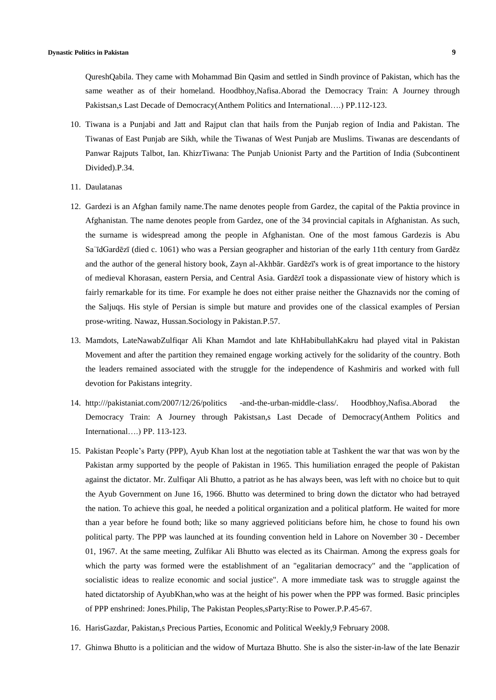QureshQabila. They came with [Mohammad](http://en.wikipedia.org/wiki/Mohammad_Bin_Qasim) Bin Qasim and settled in Sindh province of Pakistan, which has the same weather as of their homeland. Hoodbhoy,Nafisa.Aborad the Democracy Train: A Journey through Pakistsan,s Last Decade of Democracy(Anthem Politics and International….) PP.112-123.

- 10. Tiwana is a [Punjabi](http://en.wikipedia.org/wiki/Punjabi_people) and [Jatt](http://en.wikipedia.org/wiki/Jatt) and [Rajput](http://en.wikipedia.org/wiki/Rajput) clan that hails from the [Punjab](http://en.wikipedia.org/wiki/Punjab_region) region of [India](http://en.wikipedia.org/wiki/India) and [Pakistan.](http://en.wikipedia.org/wiki/Pakistan) The Tiwanas of East Punjab are [Sikh,](http://en.wikipedia.org/wiki/Sikh) while the Tiwanas of West Punjab are [Muslims.](http://en.wikipedia.org/wiki/Muslims) Tiwanas are descendants of [Panwar](http://en.wikipedia.org/wiki/Panwar) [Rajputs](http://en.wikipedia.org/wiki/Rajputs) Talbot, Ian. KhizrTiwana: The Punjab Unionist Party and the Partition of India (Subcontinent Divided).P.34.
- 11. Daulatanas
- 12. Gardezi is an Afghan family name.The name denotes people from [Gardez,](http://en.wikipedia.org/wiki/Gardez) the capital of the Paktia [province](http://en.wikipedia.org/wiki/Paktia_Province) in [Afghanistan.](http://en.wikipedia.org/wiki/Afghanistan) The name denotes people from [Gardez,](http://en.wikipedia.org/wiki/Gardez) one of the 34 provincial capitals in [Afghanistan.](http://en.wikipedia.org/wiki/Afghanistan) As such, the surname is widespread among the people in Afghanistan. One of the most famous Gardezis is [Abu](http://en.wikipedia.org/wiki/Abu_Sa%CA%BF%C4%ABd_Gard%C4%93z%C4%AB) [SaʿīdGardēzī](http://en.wikipedia.org/wiki/Abu_Sa%CA%BF%C4%ABd_Gard%C4%93z%C4%AB) (died c. 1061) who was a Persian geographer and historian of the early 11th century from Gardēz and the author of the general history book, Zayn al-Akhbār. Gardēzī's work is of great importance to the history of medieval [Khorasan,](http://en.wikipedia.org/wiki/Greater_Khorasan) eastern Persia, and [Central](http://en.wikipedia.org/wiki/Central_Asia) Asia. Gardēzī took a dispassionate view of history which is fairly remarkable for its time. For example he does not either praise neither the Ghaznavids nor the coming of the Saljuqs. His style of [Persian](http://en.wikipedia.org/wiki/Persian_language) is simple but mature and provides one of the classical examples of [Persian](http://en.wikipedia.org/wiki/Persian_language) prose-writing. Nawaz, Hussan.Sociology in Pakistan.P.57.
- 13. Mamdots, LateNawabZulfiqar Ali Khan Mamdot and late KhHabibullahKakru had played vital in Pakistan Movement and after the partition they remained engage working actively for the solidarity of the country. Both the leaders remained associated with the struggle for the independence of Kashmiris and worked with full devotion for Pakistans integrity.
- 14. [http:///pakistaniat.com/2007/12/26/politics](http://pakistaniat.com/2007/12/26/politics%20-and-the-urban-middle-class/) -and-the-urban-middle-class/. Hoodbhoy,Nafisa.Aborad the Democracy Train: A Journey through Pakistsan,s Last Decade of Democracy(Anthem Politics and International….) PP. 113-123.
- 15. Pakistan People's Party (PPP), Ayub Khan lost at the negotiation table at Tashkent the war that was won by the Pakistan army supported by the people of Pakistan in 1965. This humiliation enraged the people of Pakistan against the dictator. Mr. Zulfiqar Ali Bhutto, a patriot as he has always been, was left with no choice but to quit the Ayub Government on June 16, 1966. Bhutto was determined to bring down the dictator who had betrayed the nation. To achieve this goal, he needed a political organization and a political platform. He waited for more than a year before he found both; like so many aggrieved politicians before him, he chose to found his own political party. The PPP was launched at its founding convention held in Lahore on November 30 - December 01, 1967. At the same meeting, Zulfikar Ali Bhutto was elected as its Chairman. Among the express goals for which the party was formed were the establishment of an "egalitarian democracy" and the "application of socialistic ideas to realize economic and social justice". A more immediate task was to struggle against the hated dictatorship of AyubKhan,who was at the height of his power when the PPP was formed. Basic principles of PPP enshrined: Jones.Philip, The Pakistan Peoples,sParty:Rise to Power.P.P.45-67.
- 16. HarisGazdar, Pakistan,s Precious Parties, Economic and Political Weekly,9 February 2008.
- 17. Ghinwa Bhutto is a [politician](http://en.wikipedia.org/wiki/Politician) and the widow of [Murtaza](http://en.wikipedia.org/wiki/Murtaza_Bhutto) Bhutto. She is also the sister-in-law of the late [Benazir](http://en.wikipedia.org/wiki/Benazir_Bhutto)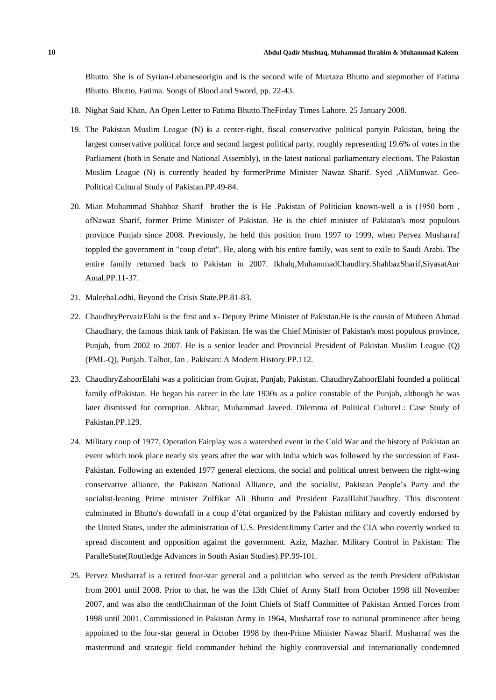Bhutto. She is of [Syrian-](http://en.wikipedia.org/wiki/Syrian)[Lebaneseo](http://en.wikipedia.org/wiki/Lebanese_people)rigin and is the second wife of [Murtaza](http://en.wikipedia.org/wiki/Murtaza_Bhutto) Bhutto and stepmother of [Fatima](http://en.wikipedia.org/wiki/Fatima_Bhutto) [Bhutto.](http://en.wikipedia.org/wiki/Fatima_Bhutto) Bhutto, Fatima. Songs of Blood and Sword, pp. 22-43.

- 18. Nighat Said Khan, An Open Letter to Fatima Bhutto.TheFirday Times Lahore. 25 January 2008.
- 19. The Pakistan Muslim League (N) **i**s a [center-right,](http://en.wikipedia.org/wiki/Center-right) fiscal [conservative](http://en.wikipedia.org/wiki/Fiscal_Conservatism) [political](http://en.wikipedia.org/wiki/Political_party) partyin [Pakistan,](http://en.wikipedia.org/wiki/Pakistan) being the largest [conservative](http://en.wikipedia.org/wiki/Right-wing_politics) political force and second largest political party, roughly representing 19.6% of votes in the [Parliament](http://en.wikipedia.org/wiki/Pakistan_Parliament) (both in [Senate](http://en.wikipedia.org/wiki/Pakistan_Senate) and National [Assembly\)](http://en.wikipedia.org/wiki/Pakistan_National_Assembly), in the latest national [parliamentary](http://en.wikipedia.org/wiki/Pakistani_general_election,_2008) elections. The Pakistan Muslim League (N) is currently headed by formerPrime [Minister](http://en.wikipedia.org/wiki/Prime_Minister_of_Pakistan) [Nawaz](http://en.wikipedia.org/wiki/Nawaz_Sharif) Sharif. Syed ,AliMunwar. Geo-Political Cultural Study of Pakistan.PP.49-84.
- 20. Mian Muhammad Shahbaz Sharif brother the is He .Pakistan of Politician known-well a is (1950 born. ofNawaz Sharif, former Prime Minister of [Pakistan.](http://en.wikipedia.org/wiki/Prime_Minister_of_Pakistan) He is the chief minister of Pakistan's most populous province [Punjab](http://en.wikipedia.org/wiki/Punjab_(Pakistan)) since 2008. Previously, he held this position from 1997 to 1999, when Pervez [Musharraf](http://en.wikipedia.org/wiki/Pervez_Musharraf) toppled the government in "coup d'etat". He, along with his entire family, was sent to exile to Saudi Arabi. The entire family returned back to Pakistan in 2007. Ikhalq,MuhammadChaudhry.ShahbazSharif,SiyasatAur Amal.PP.11-37.
- 21. MaleehaLodhi, Beyond the Crisis State.PP.81-83.
- 22. ChaudhryPervaizElahi is the first and x- Deputy Prime Minister of [Pakistan.](http://en.wikipedia.org/wiki/Deputy_Prime_Minister_of_Pakistan)He is the cousin of Mubeen Ahmad Chaudhary, the famous think tank of Pakistan. He was the Chief [Minister](http://en.wikipedia.org/wiki/Chief_Minister) of Pakistan's most populous province, [Punjab,](http://en.wikipedia.org/wiki/Punjab_(Pakistan)) from 2002 to 2007. He is a senior leader and Provincial President of [Pakistan](http://en.wikipedia.org/wiki/Pakistan_Muslim_League_(Q)) Muslim League (Q) (PML-Q), [Punjab.](http://en.wikipedia.org/wiki/Punjab,_Pakistan) Talbot, Ian . Pakistan: A Modern History.PP.112.
- 23. ChaudhryZahoorElahi was a politician from [Gujrat,](http://en.wikipedia.org/wiki/Gujrat) [Punjab,](http://en.wikipedia.org/wiki/Punjab_(Pakistan)) [Pakistan.](http://en.wikipedia.org/wiki/Pakistan) ChaudhryZahoorElahi founded a political family o[fPakistan.](http://en.wikipedia.org/wiki/Pakistan) He began his career in the late 1930s as a police constable of the [Punjab,](http://en.wikipedia.org/wiki/Punjab_(British_India)) although he was later dismissed for corruption. Akhtar, Muhammad Javeed. Dilemma of Political CultureL: Case Study of Pakistan.PP.129.
- 24. Military coup of 1977, Operation Fairplay was a watershed event in the [Cold](http://en.wikipedia.org/wiki/Cold_War) War and the [history](http://en.wikipedia.org/wiki/History_of_Pakistan) of [Pakistan](http://en.wikipedia.org/wiki/Pakistan) an event which took place nearly six years after the war with [India](http://en.wikipedia.org/wiki/Indo-Pakistani_war_of_1971) which was followed by the [succession](http://en.wikipedia.org/wiki/Bangladesh_Liberation_War) of [East-](http://en.wikipedia.org/wiki/East_Pakistan)[Pakistan.](http://en.wikipedia.org/wiki/East_Pakistan) Following an extended 1977 general [elections,](http://en.wikipedia.org/wiki/Pakistani_general_elections,_1977) the social and political unrest between the [right-wing](http://en.wikipedia.org/wiki/Right-wing_politics) [conservative](http://en.wikipedia.org/wiki/Conservative) alliance, the Pakistan National [Alliance,](http://en.wikipedia.org/wiki/Pakistan_National_Alliance) and the [socialist,](http://en.wikipedia.org/wiki/Democratic_socialism) Pakistan [People's](http://en.wikipedia.org/wiki/Pakistan_Peoples_Party) Party and the socialist-leaning Prime [minister](http://en.wikipedia.org/wiki/Prime_Minister_of_Pakistan) [Zulfikar](http://en.wikipedia.org/wiki/Zulfikar_Ali_Bhutto) Ali Bhutto and [President](http://en.wikipedia.org/wiki/President_of_Pakistan) [FazalIlahiChaudhry.](http://en.wikipedia.org/wiki/Fazal_Ilahi_Chaudhry) This discontent culminated in Bhutto's downfall in a coup d'état organized by the [Pakistan](http://en.wikipedia.org/wiki/Pakistan_military) military and covertly endorsed by the [United](http://en.wikipedia.org/wiki/United_States) States, under the [administration](http://en.wikipedia.org/wiki/Carter_administration) of U.S. [PresidentJimmy](http://en.wikipedia.org/wiki/President_of_the_United_States) Carter and the [CIA](http://en.wikipedia.org/wiki/Central_Intelligence_Agency) who covertly worked to spread discontent and opposition against the government. Aziz, Mazhar. Military Control in Pakistan: The ParalleState(Routledge Advances in South Asian Studies).PP.99-101.
- 25. Pervez Musharraf is a retired [four-star](http://en.wikipedia.org/wiki/Four-star_general) [general](http://en.wikipedia.org/wiki/General_officer) and a [politician](http://en.wikipedia.org/wiki/Pakistani_politician) who served as the [tenth](http://en.wikipedia.org/wiki/List_of_Presidents_of_Pakistan) [President](http://en.wikipedia.org/wiki/President_of_Pakistan) o[fPakistan](http://en.wikipedia.org/wiki/Pakistan) from 2001 until 2008. Prior to that, he was the [13th](http://en.wikipedia.org/wiki/Chief_of_Army_Staff_(Pakistan)#List_of_Chiefs_of_Army_Staff) Chief of [Army](http://en.wikipedia.org/wiki/Chief_of_Army_Staff_(Pakistan)) Staff from October 1998 till November 2007, and was also the [tenthChairman](http://en.wikipedia.org/wiki/Chairman_Joint_Chiefs_of_Staff_Committee_(Pakistan)#List_of_Chairman_Joint_Chiefs) of the Joint Chiefs of Staff [Committee](http://en.wikipedia.org/wiki/Joint_Chiefs_of_Staff_Committee) of [Pakistan](http://en.wikipedia.org/wiki/Pakistan_Armed_Forces) Armed Forces from 1998 until 2001. Commissioned in [Pakistan](http://en.wikipedia.org/wiki/Pakistan_Army) Army in 1964, Musharraf rose to national prominence after being appointed to the four-star general in October 1998 by then-Prime [Minister](http://en.wikipedia.org/wiki/Prime_Minister_of_Pakistan) [Nawaz](http://en.wikipedia.org/wiki/Nawaz_Sharif) Sharif. Musharraf was the mastermind and strategic field commander behind the highly controversial and internationally condemned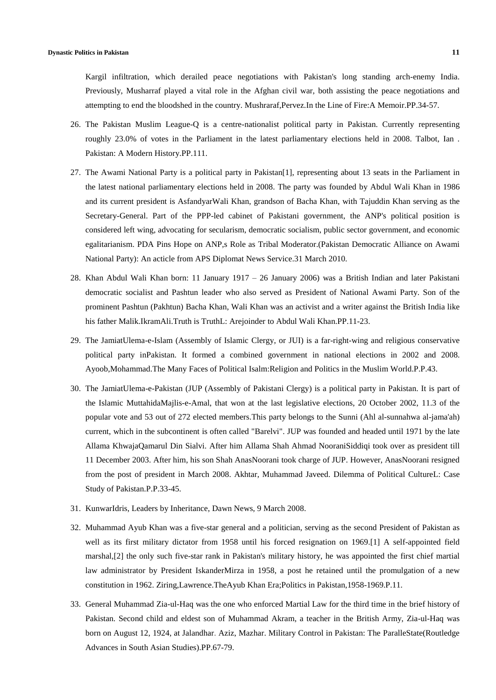Kargil [infiltration,](http://en.wikipedia.org/wiki/Indo-Pakistani_War_of_1999) which derailed peace negotiations with Pakistan's long standing arch-enemy [India.](http://en.wikipedia.org/wiki/India) Previously, Musharraf played a vital role in the [Afghan](http://en.wikipedia.org/wiki/Afghan_Civil_War_(1996-2001)) civil war, both assisting the peace negotiations and attempting to end the bloodshed in the country. Mushraraf,Pervez.In the Line of Fire:A Memoir.PP.34-57.

- 26. The Pakistan Muslim League-Q is a [centre](http://en.wikipedia.org/wiki/Centrism)[-nationalist](http://en.wikipedia.org/wiki/Nationalism_in_Pakistan) [political](http://en.wikipedia.org/wiki/Political_party) party in [Pakistan.](http://en.wikipedia.org/wiki/Pakistan) Currently representing roughly 23.0% of votes in the [Parliament](http://en.wikipedia.org/wiki/Parliament_of_Pakistan) in the latest [parliamentary](http://en.wikipedia.org/wiki/Pakistani_general_election,_2008) elections held in 2008. Talbot, Ian. Pakistan: A Modern History.PP.111.
- 27. The Awami National Party is a political party in [Pakistan\[1\],](http://en.wikipedia.org/wiki/List_of_political_parties_in_Pakistan) representing about 13 seats in the [Parliament](http://en.wikipedia.org/wiki/Parliament_of_Pakistan) in the latest national [parliamentary](http://en.wikipedia.org/wiki/Pakistani_general_election,_2008) elections held in 2008. The party was founded by [Abdul](http://en.wikipedia.org/wiki/Abdul_Wali_Khan) Wali Khan in 1986 and its current president is [AsfandyarWali](http://en.wikipedia.org/wiki/Asfandyar_Wali_Khan) Khan, grandson of [Bacha](http://en.wikipedia.org/wiki/Khan_Abdul_Ghaffar_Khan) Khan, with Tajuddin Khan serving as the [Secretary-General.](http://en.wikipedia.org/wiki/Secretary-General) Part of the [PPP-](http://en.wikipedia.org/wiki/Pakistan_Peoples_Party)led [cabinet](http://en.wikipedia.org/wiki/Cabinet_of_Pakistan) of Pakistani [government,](http://en.wikipedia.org/wiki/Pakistani_government) the ANP's political position is considered left [wing,](http://en.wikipedia.org/wiki/Left-wing_politics) advocating for [secularism,](http://en.wikipedia.org/wiki/Secularism) [democratic](http://en.wikipedia.org/wiki/Socialism_in_Pakistan) socialism, [public](http://en.wikipedia.org/wiki/Public_sector) sector government, and [economic](http://en.wikipedia.org/wiki/Economic_egalitarianism) [egalitarianism.](http://en.wikipedia.org/wiki/Economic_egalitarianism) PDA Pins Hope on ANP,s Role as Tribal Moderator.(Pakistan Democratic Alliance on Awami National Party): An acticle from APS Diplomat News Service.31 March 2010.
- 28. Khan Abdul Wali Khan born: 11 January 1917 26 January 2006) was a [British](http://en.wikipedia.org/wiki/British_Indian) Indian and later [Pakistani](http://en.wikipedia.org/wiki/People_of_Pakistan) democratic socialist and Pashtun leader who also served as President of [National](http://en.wikipedia.org/wiki/National_Awami_Party) Awami Party. Son of the prominent [Pashtun](http://en.wikipedia.org/wiki/Pashtun_people) (Pakhtun) [Bacha](http://en.wikipedia.org/wiki/Khan_Abdul_Ghaffar_Khan) Khan, Wali Khan was an [activist](http://en.wikipedia.org/wiki/Indian_independence_movement) and a [writer](http://en.wikipedia.org/wiki/Writer) against the [British](http://en.wikipedia.org/wiki/British_Raj) India like his father Malik.IkramAli.Truth is TruthL: Arejoinder to Abdul Wali Khan.PP.11-23.
- 29. The JamiatUlema-e-Islam (Assembly of Islamic Clergy, or JUI) is a [far-right-wing](http://en.wikipedia.org/wiki/Far_right-wing) and religious [conservative](http://en.wikipedia.org/wiki/Religious_conservative) political party i[nPakistan.](http://en.wikipedia.org/wiki/Pakistan) It formed a combined government in national elections in 2002 and 2008. Ayoob,Mohammad.The Many Faces of Political Isalm:Religion and Politics in the Muslim World.P.P.43.
- 30. The JamiatUlema-e-Pakistan (JUP (Assembly of Pakistani [Clergy\)](http://en.wikipedia.org/wiki/Ulema) is a [political](http://en.wikipedia.org/wiki/Political_party) party in [Pakistan.](http://en.wikipedia.org/wiki/Pakistan) It is part of the Islamic [MuttahidaMajlis-e-Amal,](http://en.wikipedia.org/wiki/Muttahida_Majlis-e-Amal) that won at the last [legislative](http://en.wikipedia.org/wiki/Legislative) [elections,](http://en.wikipedia.org/wiki/Elections_in_Pakistan) 20 October 2002, 11.3 of the popular vote and 53 out of 272 elected members.This party belongs to the Sunni (Ahl al-sunnahwa al-jama'ah) current, which in the subcontinent is often called ["Barelvi"](http://en.wikipedia.org/wiki/Barelvi). JUP was founded and headed until 1971 by the late Allama [KhwajaQamarul](http://en.wikipedia.org/wiki/Khwaja_Qamar_ul_Din_Sialvi) Din Sialvi. After him Allama Shah Ahmad [NooraniSiddiqi](http://en.wikipedia.org/wiki/Shah_Ahmad_Noorani_Siddiqi) took over as president till 11 December 2003. After him, his son Shah AnasNoorani took charge of JUP. However, AnasNoorani resigned from the post of president in March 2008. Akhtar, Muhammad Javeed. Dilemma of Political CultureL: Case Study of Pakistan.P.P.33-45.
- 31. KunwarIdris, Leaders by Inheritance, Dawn News, 9 March 2008.
- 32. Muhammad Ayub Khan was a [five-star](http://en.wikipedia.org/wiki/Five-star_rank) general and a [politician,](http://en.wikipedia.org/wiki/Politician) serving as the [second](http://en.wikipedia.org/wiki/List_of_Presidents_of_Pakistan) [President](http://en.wikipedia.org/wiki/President_of_Pakistan) of Pakistan as well as its first military dictator from 1958 until his forced resignation on 196[9.\[1\]](http://en.wikipedia.org/wiki/Ayub_Khan_(Field_Marshal)#cite_note-Story_of_Pakistan.2C_Part-1-1) A self-appointed [field](http://en.wikipedia.org/wiki/Field_marshal) [marshal,](http://en.wikipedia.org/wiki/Field_marshal)[\[2\]](http://en.wikipedia.org/wiki/Ayub_Khan_(Field_Marshal)#cite_note-Story_of_Pakistan.2C_Part-3-2) the only such [five-star](http://en.wikipedia.org/wiki/5-star_rank) rank in Pakistan's [military](http://en.wikipedia.org/wiki/Pakistani_military_history) history, he was appointed the first chief [martial](http://en.wikipedia.org/wiki/Chief_Martial_Law_Administrator) law [administrator](http://en.wikipedia.org/wiki/Chief_Martial_Law_Administrator) by President [IskanderMirza](http://en.wikipedia.org/wiki/Iskander_Mirza) in 1958, a post he retained until the promulgation of a [new](http://en.wikipedia.org/wiki/Constitution_of_Pakistan_of_1962) [constitution](http://en.wikipedia.org/wiki/Constitution_of_Pakistan_of_1962) in 1962. Ziring,Lawrence.TheAyub Khan Era;Politics in Pakistan,1958-1969.P.11.
- 33. General Muhammad Zia-ul-Haq was the one who enforced Martial Law for the third time in the brief history of Pakistan. Second child and eldest son of Muhammad Akram, a teacher in the British Army, Zia-ul-Haq was born on August 12, 1924, at Jalandhar. Aziz, Mazhar. Military Control in Pakistan: The ParalleState(Routledge Advances in South Asian Studies).PP.67-79.